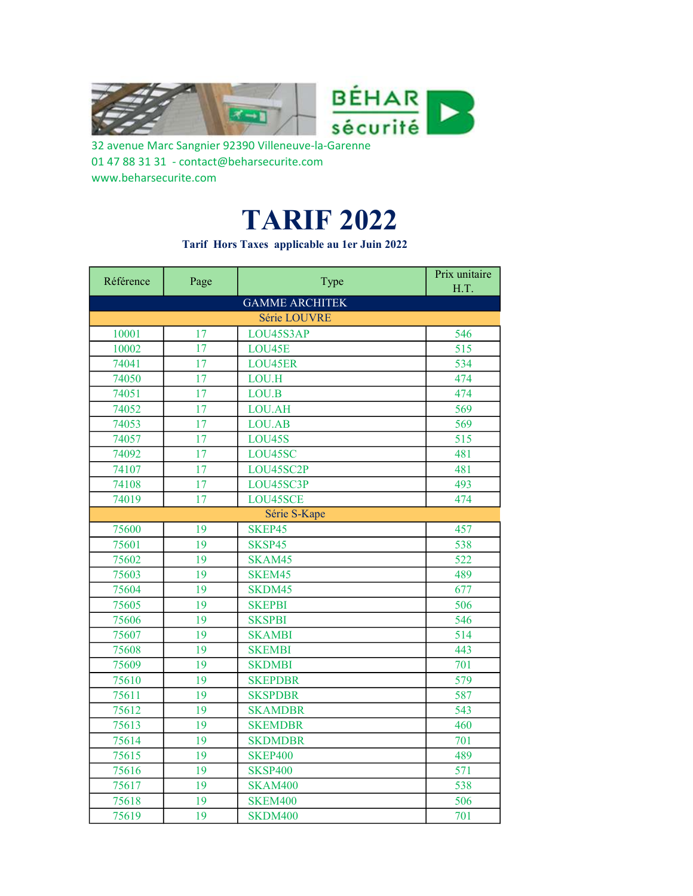

32 avenue Marc Sangnier 92390 Villeneuve-la-Garenne 01 47 88 31 31 - contact@beharsecurite.com www.beharsecurite.com

## TARIF 2022

Tarif Hors Taxes applicable au 1er Juin 2022

| Référence | Page | Type                  | Prix unitaire |
|-----------|------|-----------------------|---------------|
|           |      |                       | H.T.          |
|           |      | <b>GAMME ARCHITEK</b> |               |
|           |      | Série LOUVRE          |               |
| 10001     | 17   | LOU45S3AP             | 546           |
| 10002     | 17   | LOU45E                | 515           |
| 74041     | 17   | LOU45ER               | 534           |
| 74050     | 17   | LOU.H                 | 474           |
| 74051     | 17   | LOU.B                 | 474           |
| 74052     | 17   | LOU.AH                | 569           |
| 74053     | 17   | LOU.AB                | 569           |
| 74057     | 17   | <b>LOU45S</b>         | 515           |
| 74092     | 17   | LOU45SC               | 481           |
| 74107     | 17   | LOU45SC2P             | 481           |
| 74108     | 17   | LOU45SC3P             | 493           |
| 74019     | 17   | LOU45SCE              | 474           |
|           |      | Série S-Kape          |               |
| 75600     | 19   | SKEP45                | 457           |
| 75601     | 19   | SKSP45                | 538           |
| 75602     | 19   | SKAM45                | 522           |
| 75603     | 19   | SKEM45                | 489           |
| 75604     | 19   | SKDM45                | 677           |
| 75605     | 19   | <b>SKEPBI</b>         | 506           |
| 75606     | 19   | <b>SKSPBI</b>         | 546           |
| 75607     | 19   | <b>SKAMBI</b>         | 514           |
| 75608     | 19   | <b>SKEMBI</b>         | 443           |
| 75609     | 19   | <b>SKDMBI</b>         | 701           |
| 75610     | 19   | <b>SKEPDBR</b>        | 579           |
| 75611     | 19   | <b>SKSPDBR</b>        | 587           |
| 75612     | 19   | <b>SKAMDBR</b>        | 543           |
| 75613     | 19   | <b>SKEMDBR</b>        | 460           |
| 75614     | 19   | <b>SKDMDBR</b>        | 701           |
| 75615     | 19   | <b>SKEP400</b>        | 489           |
| 75616     | 19   | <b>SKSP400</b>        | 571           |
| 75617     | 19   | <b>SKAM400</b>        | 538           |
| 75618     | 19   | <b>SKEM400</b>        | 506           |
| 75619     | 19   | SKDM400               | 701           |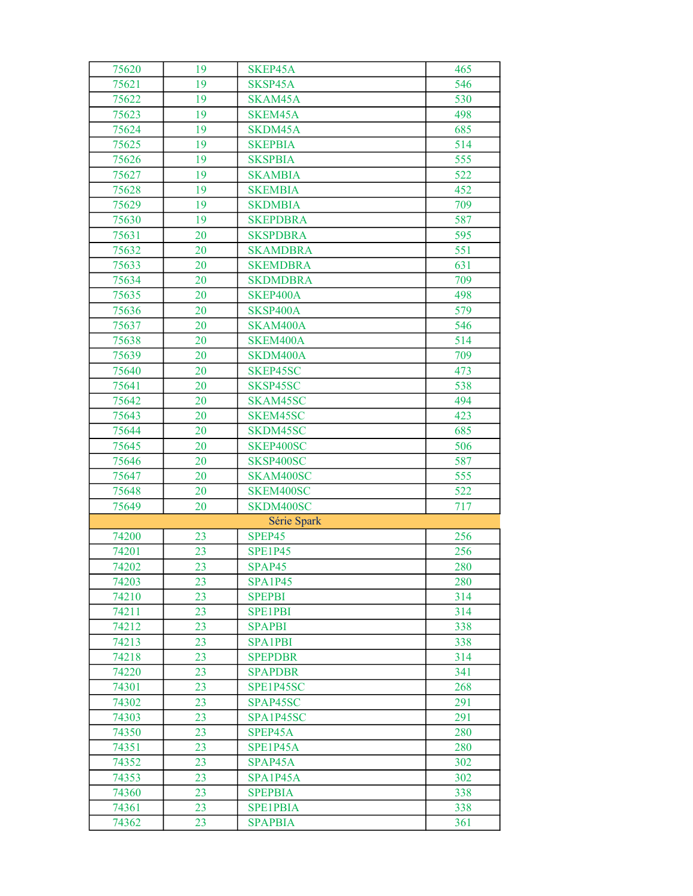| 75620 | 19 | SKEP45A         | 465 |
|-------|----|-----------------|-----|
| 75621 | 19 | SKSP45A         | 546 |
| 75622 | 19 | SKAM45A         | 530 |
| 75623 | 19 | SKEM45A         | 498 |
| 75624 | 19 | SKDM45A         | 685 |
| 75625 | 19 | <b>SKEPBIA</b>  | 514 |
| 75626 | 19 | <b>SKSPBIA</b>  | 555 |
| 75627 | 19 | <b>SKAMBIA</b>  | 522 |
| 75628 | 19 | <b>SKEMBIA</b>  | 452 |
| 75629 | 19 | <b>SKDMBIA</b>  | 709 |
| 75630 | 19 | <b>SKEPDBRA</b> | 587 |
| 75631 | 20 | <b>SKSPDBRA</b> | 595 |
| 75632 | 20 | <b>SKAMDBRA</b> | 551 |
| 75633 | 20 | <b>SKEMDBRA</b> | 631 |
| 75634 | 20 | <b>SKDMDBRA</b> | 709 |
| 75635 | 20 | SKEP400A        | 498 |
| 75636 | 20 | SKSP400A        | 579 |
| 75637 | 20 | SKAM400A        | 546 |
| 75638 | 20 | SKEM400A        | 514 |
| 75639 | 20 | SKDM400A        | 709 |
| 75640 | 20 | SKEP45SC        | 473 |
| 75641 | 20 | SKSP45SC        | 538 |
| 75642 | 20 | SKAM45SC        | 494 |
| 75643 | 20 | SKEM45SC        | 423 |
| 75644 | 20 | SKDM45SC        | 685 |
| 75645 | 20 | SKEP400SC       | 506 |
| 75646 | 20 | SKSP400SC       | 587 |
| 75647 | 20 | SKAM400SC       | 555 |
| 75648 | 20 | SKEM400SC       | 522 |
| 75649 | 20 | SKDM400SC       | 717 |
|       |    | Série Spark     |     |
| 74200 | 23 | SPEP45          | 256 |
| 74201 | 23 | <b>SPE1P45</b>  | 256 |
| 74202 | 23 | SPAP45          | 280 |
| 74203 | 23 | <b>SPA1P45</b>  | 280 |
| 74210 | 23 | <b>SPEPBI</b>   | 314 |
| 74211 | 23 | <b>SPE1PBI</b>  | 314 |
| 74212 | 23 | <b>SPAPBI</b>   | 338 |
| 74213 | 23 | <b>SPA1PBI</b>  | 338 |
| 74218 | 23 | <b>SPEPDBR</b>  | 314 |
| 74220 | 23 | <b>SPAPDBR</b>  | 341 |
| 74301 | 23 | SPE1P45SC       | 268 |
| 74302 | 23 | SPAP45SC        | 291 |
| 74303 | 23 | SPA1P45SC       | 291 |
| 74350 | 23 | SPEP45A         | 280 |
| 74351 | 23 | SPE1P45A        | 280 |
| 74352 | 23 | SPAP45A         | 302 |
| 74353 | 23 | SPA1P45A        | 302 |
| 74360 | 23 | <b>SPEPBIA</b>  | 338 |
| 74361 | 23 | <b>SPE1PBIA</b> | 338 |
| 74362 | 23 | <b>SPAPBIA</b>  | 361 |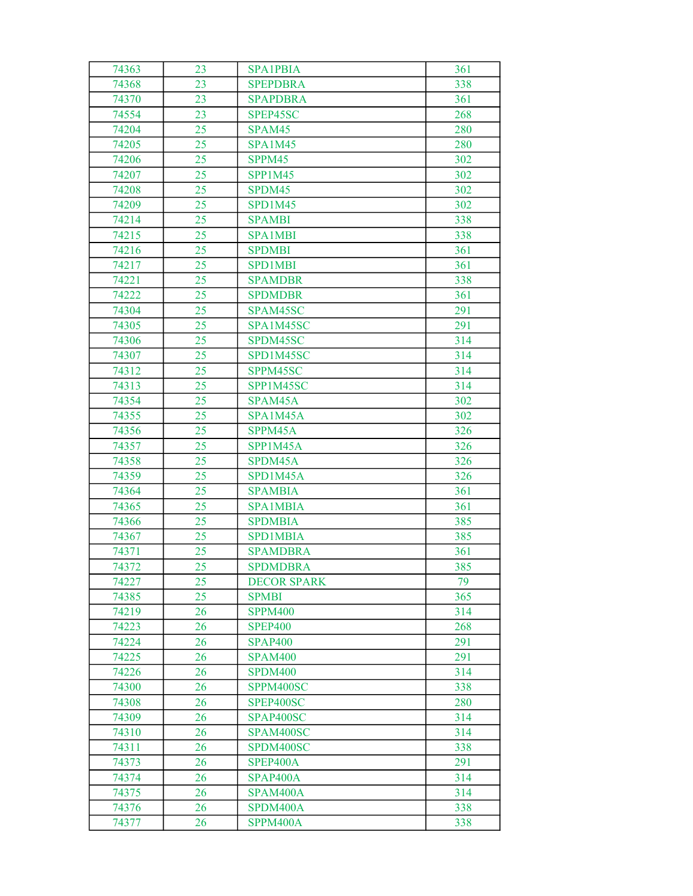| 74363 | 23 | <b>SPA1PBIA</b>    | 361 |
|-------|----|--------------------|-----|
| 74368 | 23 | <b>SPEPDBRA</b>    | 338 |
| 74370 | 23 | <b>SPAPDBRA</b>    | 361 |
| 74554 | 23 | SPEP45SC           | 268 |
| 74204 | 25 | SPAM45             | 280 |
| 74205 | 25 | <b>SPA1M45</b>     | 280 |
| 74206 | 25 | SPPM45             | 302 |
| 74207 | 25 | <b>SPP1M45</b>     | 302 |
| 74208 | 25 | SPDM45             | 302 |
| 74209 | 25 | SPD1M45            | 302 |
| 74214 | 25 | <b>SPAMBI</b>      | 338 |
| 74215 | 25 | <b>SPA1MBI</b>     | 338 |
| 74216 | 25 | <b>SPDMBI</b>      | 361 |
| 74217 | 25 | <b>SPD1MBI</b>     | 361 |
| 74221 | 25 | <b>SPAMDBR</b>     | 338 |
| 74222 | 25 | <b>SPDMDBR</b>     | 361 |
| 74304 | 25 | SPAM45SC           | 291 |
| 74305 | 25 | SPA1M45SC          | 291 |
| 74306 | 25 | SPDM45SC           | 314 |
| 74307 | 25 | SPD1M45SC          | 314 |
| 74312 | 25 | SPPM45SC           | 314 |
| 74313 | 25 | SPP1M45SC          | 314 |
| 74354 | 25 | SPAM45A            | 302 |
| 74355 | 25 | SPA1M45A           | 302 |
| 74356 | 25 | SPPM45A            | 326 |
| 74357 | 25 | SPP1M45A           | 326 |
| 74358 | 25 | SPDM45A            | 326 |
| 74359 | 25 | SPD1M45A           | 326 |
| 74364 | 25 | <b>SPAMBIA</b>     | 361 |
| 74365 | 25 | <b>SPA1MBIA</b>    | 361 |
| 74366 | 25 | <b>SPDMBIA</b>     | 385 |
| 74367 | 25 | <b>SPD1MBIA</b>    | 385 |
| 74371 | 25 | <b>SPAMDBRA</b>    | 361 |
| 74372 | 25 | <b>SPDMDBRA</b>    | 385 |
| 74227 | 25 | <b>DECOR SPARK</b> | 79  |
| 74385 | 25 | <b>SPMBI</b>       | 365 |
| 74219 | 26 | <b>SPPM400</b>     | 314 |
| 74223 | 26 | <b>SPEP400</b>     | 268 |
| 74224 | 26 | <b>SPAP400</b>     | 291 |
| 74225 | 26 | <b>SPAM400</b>     | 291 |
| 74226 | 26 | SPDM400            | 314 |
| 74300 | 26 | SPPM400SC          | 338 |
| 74308 | 26 | SPEP400SC          | 280 |
| 74309 | 26 | SPAP400SC          | 314 |
| 74310 | 26 | SPAM400SC          | 314 |
| 74311 | 26 | SPDM400SC          | 338 |
| 74373 | 26 | SPEP400A           | 291 |
| 74374 | 26 | SPAP400A           | 314 |
| 74375 | 26 | SPAM400A           | 314 |
| 74376 | 26 | SPDM400A           | 338 |
| 74377 | 26 | SPPM400A           | 338 |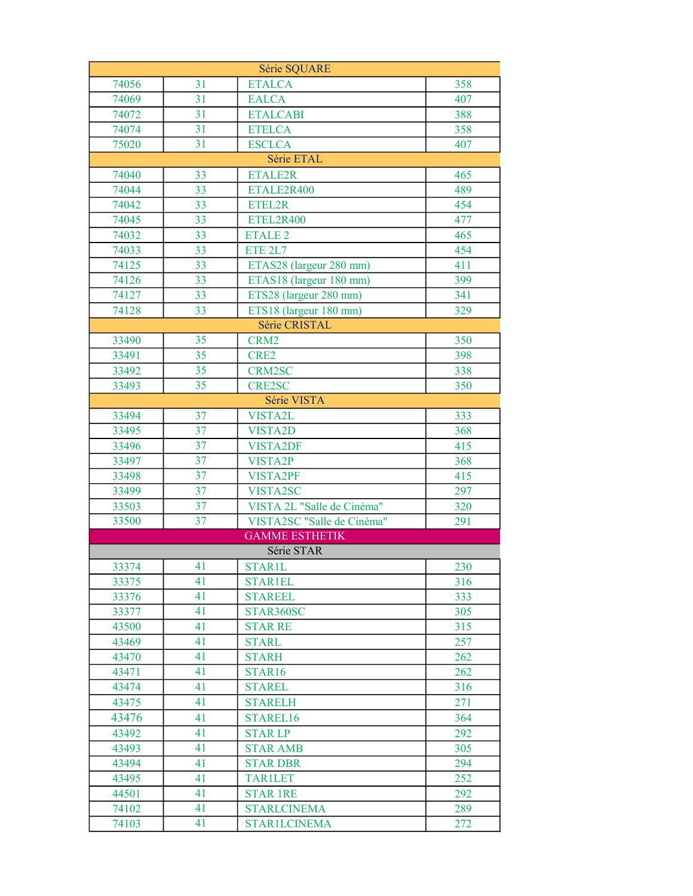| Série SQUARE   |          |                                 |            |
|----------------|----------|---------------------------------|------------|
| 74056          | 31       | <b>ETALCA</b>                   | 358        |
| 74069          | 31       | <b>EALCA</b>                    | 407        |
| 74072          | 31       | <b>ETALCABI</b>                 | 388        |
| 74074          | 31       | <b>ETELCA</b>                   | 358        |
| 75020          | 31       | <b>ESCLCA</b>                   | 407        |
|                |          | Série ETAL                      |            |
| 74040          | 33       | <b>ETALE2R</b>                  | 465        |
| 74044          | 33       | ETALE2R400                      | 489        |
| 74042          | 33       | ETEL2R                          | 454        |
| 74045          | 33       | ETEL2R400                       | 477        |
| 74032          | 33       | <b>ETALE 2</b>                  | 465        |
| 74033          | 33       | ETE 2L7                         | 454        |
| 74125          | 33       | ETAS28 (largeur 280 mm)         | 411        |
| 74126          | 33       | ETAS18 (largeur 180 mm)         | 399        |
| 74127          | 33       | ETS28 (largeur 280 mm)          | 341        |
| 74128          | 33       | ETS18 (largeur 180 mm)          | 329        |
|                |          | Série CRISTAL                   |            |
| 33490          | 35       | CRM <sub>2</sub>                | 350        |
| 33491          | 35       | CRE2                            | 398        |
| 33492          | 35       | <b>CRM2SC</b>                   | 338        |
| 33493          | 35       | <b>CRE2SC</b>                   | 350        |
|                |          | Série VISTA                     |            |
| 33494          | 37       | VISTA2L                         | 333        |
| 33495          | 37       | VISTA2D                         | 368        |
| 33496          | 37       | <b>VISTA2DF</b>                 | 415        |
| 33497          | 37       | VISTA2P                         | 368        |
| 33498          | 37       | <b>VISTA2PF</b>                 | 415        |
| 33499          | 37       | VISTA2SC                        | 297        |
| 33503          | 37       | VISTA 2L "Salle de Cinéma"      | 320        |
| 33500          | 37       | VISTA2SC "Salle de Cinéma"      | 291        |
|                |          | <b>GAMME ESTHETIK</b>           |            |
|                |          | Série STAR                      |            |
| 33374          | 41       | <b>STAR1L</b>                   | 230        |
| 33375          | 41       | <b>STAR1EL</b>                  | 316        |
| 33376          | 41       | <b>STAREEL</b>                  | 333        |
| 33377          | 41       | STAR360SC                       | 305        |
| 43500          | 41<br>41 | <b>STAR RE</b>                  | 315        |
| 43469          |          | <b>STARL</b>                    | 257        |
| 43470          | 41<br>41 | <b>STARH</b>                    | 262<br>262 |
| 43471<br>43474 | 41       | STAR <sub>16</sub>              | 316        |
| 43475          | 41       | <b>STAREL</b><br><b>STARELH</b> | 271        |
|                |          |                                 | 364        |
| 43476<br>43492 | 41<br>41 | STAREL16<br><b>STARLP</b>       | 292        |
| 43493          | 41       | <b>STAR AMB</b>                 | 305        |
| 43494          | 41       | <b>STAR DBR</b>                 | 294        |
| 43495          | 41       | <b>TAR1LET</b>                  | 252        |
| 44501          | 41       | <b>STAR 1RE</b>                 | 292        |
| 74102          | 41       | <b>STARLCINEMA</b>              | 289        |
| 74103          | 41       | <b>STAR1LCINEMA</b>             | 272        |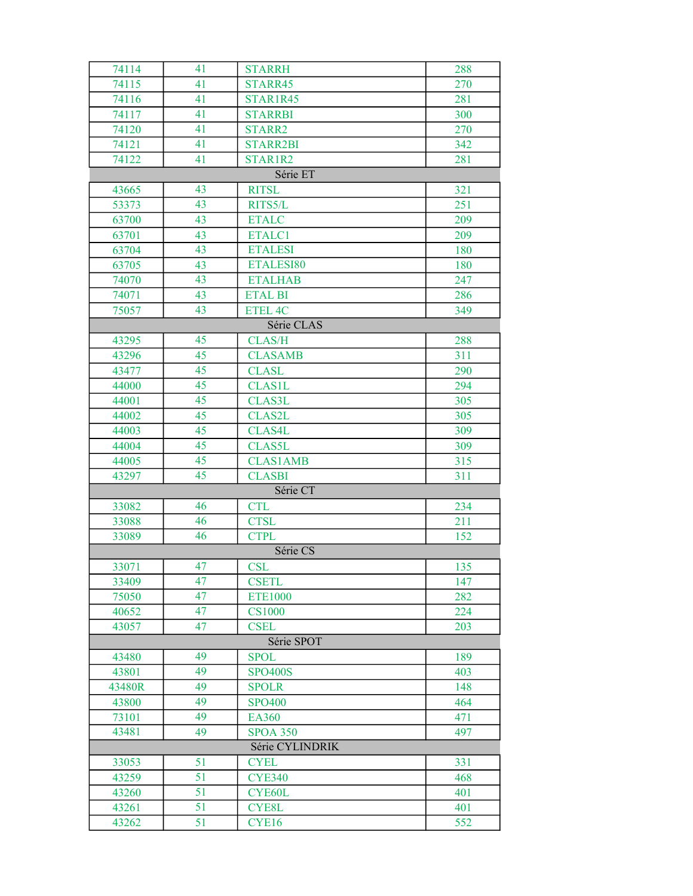| 74114           | 41 | <b>STARRH</b>   | 288 |  |
|-----------------|----|-----------------|-----|--|
| 74115           | 41 | STARR45         | 270 |  |
| 74116           | 41 | STAR1R45        | 281 |  |
| 74117           | 41 | <b>STARRBI</b>  | 300 |  |
| 74120           | 41 | STARR2          | 270 |  |
| 74121           | 41 | <b>STARR2BI</b> | 342 |  |
| 74122           | 41 | STAR1R2         | 281 |  |
|                 |    | Série ET        |     |  |
| 43665           | 43 | <b>RITSL</b>    | 321 |  |
| 53373           | 43 | RITS5/L         | 251 |  |
| 63700           | 43 | <b>ETALC</b>    | 209 |  |
| 63701           | 43 | ETALC1          | 209 |  |
| 63704           | 43 | <b>ETALESI</b>  | 180 |  |
| 63705           | 43 | ETALESI80       | 180 |  |
| 74070           | 43 | <b>ETALHAB</b>  | 247 |  |
| 74071           | 43 | <b>ETAL BI</b>  | 286 |  |
| 75057           | 43 | <b>ETEL 4C</b>  | 349 |  |
|                 |    | Série CLAS      |     |  |
| 43295           | 45 | <b>CLAS/H</b>   | 288 |  |
| 43296           | 45 | <b>CLASAMB</b>  | 311 |  |
| 43477           | 45 | <b>CLASL</b>    | 290 |  |
| 44000           | 45 | <b>CLAS1L</b>   | 294 |  |
| 44001           | 45 | <b>CLAS3L</b>   | 305 |  |
| 44002           | 45 | <b>CLAS2L</b>   | 305 |  |
| 44003           | 45 | <b>CLAS4L</b>   | 309 |  |
| 44004           | 45 | <b>CLAS5L</b>   | 309 |  |
| 44005           | 45 | <b>CLAS1AMB</b> | 315 |  |
| 43297           | 45 | <b>CLASBI</b>   | 311 |  |
|                 |    | Série CT        |     |  |
| 33082           | 46 | <b>CTL</b>      | 234 |  |
| 33088           | 46 | <b>CTSL</b>     | 211 |  |
| 33089           | 46 | <b>CTPL</b>     | 152 |  |
|                 |    | Série CS        |     |  |
| 33071           | 47 | <b>CSL</b>      | 135 |  |
| 33409           | 47 | <b>CSETL</b>    | 147 |  |
| 75050           | 47 | <b>ETE1000</b>  | 282 |  |
| 40652           | 47 | <b>CS1000</b>   | 224 |  |
| 43057           | 47 | <b>CSEL</b>     | 203 |  |
|                 |    | Série SPOT      |     |  |
| 43480           | 49 | <b>SPOL</b>     | 189 |  |
| 43801           | 49 | <b>SPO400S</b>  | 403 |  |
| 43480R          | 49 | <b>SPOLR</b>    | 148 |  |
| 43800           | 49 | <b>SPO400</b>   | 464 |  |
| 73101           | 49 | EA360           | 471 |  |
| 43481           | 49 | <b>SPOA 350</b> | 497 |  |
| Série CYLINDRIK |    |                 |     |  |
| 33053           | 51 | <b>CYEL</b>     | 331 |  |
| 43259           | 51 | <b>CYE340</b>   | 468 |  |
| 43260           | 51 | CYE60L          | 401 |  |
| 43261           | 51 | CYE8L           | 401 |  |
| 43262           | 51 | CYE16           | 552 |  |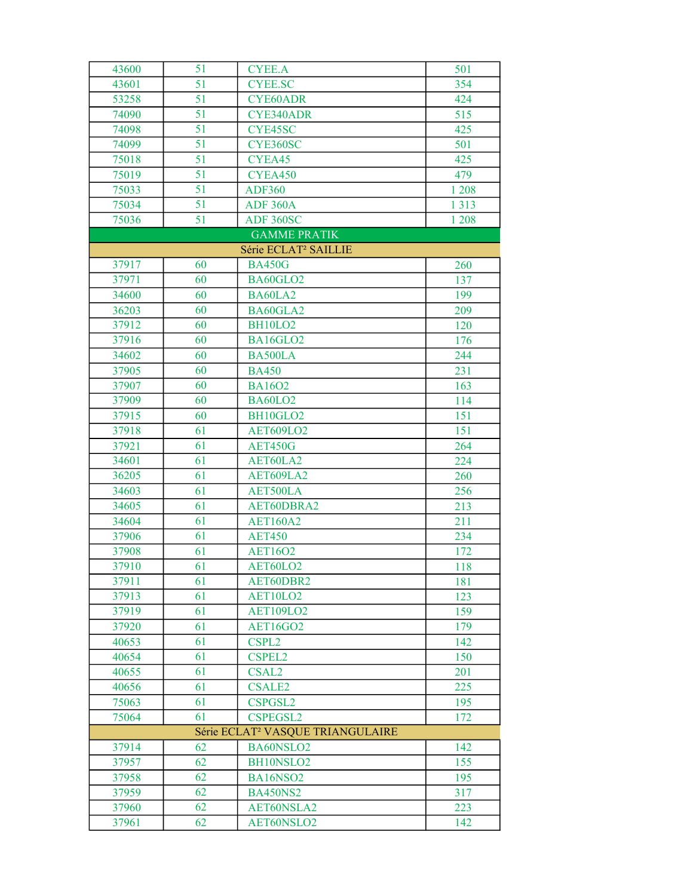| 43600 | 51 | <b>CYEE.A</b>                                | 501     |
|-------|----|----------------------------------------------|---------|
| 43601 | 51 | <b>CYEE.SC</b>                               | 354     |
| 53258 | 51 | <b>CYE60ADR</b>                              | 424     |
| 74090 | 51 | <b>CYE340ADR</b>                             | 515     |
| 74098 | 51 | CYE45SC                                      | 425     |
| 74099 | 51 | CYE360SC                                     | 501     |
| 75018 | 51 | CYEA45                                       | 425     |
| 75019 | 51 | CYEA450                                      | 479     |
| 75033 | 51 | <b>ADF360</b>                                | 1 2 0 8 |
| 75034 | 51 | <b>ADF 360A</b>                              | 1 3 1 3 |
| 75036 | 51 | ADF 360SC                                    | 1 208   |
|       |    | <b>GAMME PRATIK</b>                          |         |
|       |    | Série ECLAT <sup>2</sup> SAILLIE             |         |
| 37917 | 60 | <b>BA450G</b>                                | 260     |
| 37971 | 60 | BA60GLO2                                     | 137     |
| 34600 | 60 | BA60LA2                                      | 199     |
| 36203 | 60 | BA60GLA2                                     | 209     |
| 37912 | 60 | <b>BH10LO2</b>                               | 120     |
| 37916 | 60 | BA16GLO2                                     | 176     |
| 34602 | 60 | BA500LA                                      | 244     |
| 37905 | 60 | <b>BA450</b>                                 | 231     |
| 37907 | 60 | <b>BA1602</b>                                | 163     |
| 37909 | 60 | <b>BA60LO2</b>                               | 114     |
| 37915 | 60 | BH10GLO2                                     | 151     |
| 37918 | 61 | <b>AET609LO2</b>                             | 151     |
| 37921 | 61 | <b>AET450G</b>                               | 264     |
| 34601 | 61 | AET60LA2                                     | 224     |
| 36205 | 61 | AET609LA2                                    | 260     |
| 34603 | 61 | AET500LA                                     | 256     |
| 34605 | 61 | AET60DBRA2                                   | 213     |
| 34604 | 61 | <b>AET160A2</b>                              | 211     |
| 37906 | 61 | <b>AET450</b>                                | 234     |
| 37908 | 61 | <b>AET16O2</b>                               | 172     |
| 37910 | 61 | AET60LO2                                     | 118     |
| 37911 | 61 | AET60DBR2                                    | 181     |
| 37913 | 61 | AET10LO2                                     | 123     |
| 37919 | 61 | <b>AET109LO2</b>                             | 159     |
| 37920 | 61 | <b>AET16GO2</b>                              | 179     |
| 40653 | 61 | CSPL <sub>2</sub>                            | 142     |
| 40654 | 61 | <b>CSPEL2</b>                                | 150     |
| 40655 | 61 | <b>CSAL2</b>                                 | 201     |
| 40656 | 61 | <b>CSALE2</b>                                | 225     |
| 75063 | 61 | CSPGSL2                                      | 195     |
| 75064 | 61 | <b>CSPEGSL2</b>                              | 172     |
|       |    | Série ECLAT <sup>2</sup> VASQUE TRIANGULAIRE |         |
| 37914 | 62 | BA60NSLO2                                    | 142     |
| 37957 | 62 | BH10NSLO2                                    | 155     |
| 37958 | 62 | BA16NSO2                                     | 195     |
| 37959 | 62 | <b>BA450NS2</b>                              | 317     |
| 37960 | 62 | AET60NSLA2                                   | 223     |
| 37961 | 62 | AET60NSLO2                                   | 142     |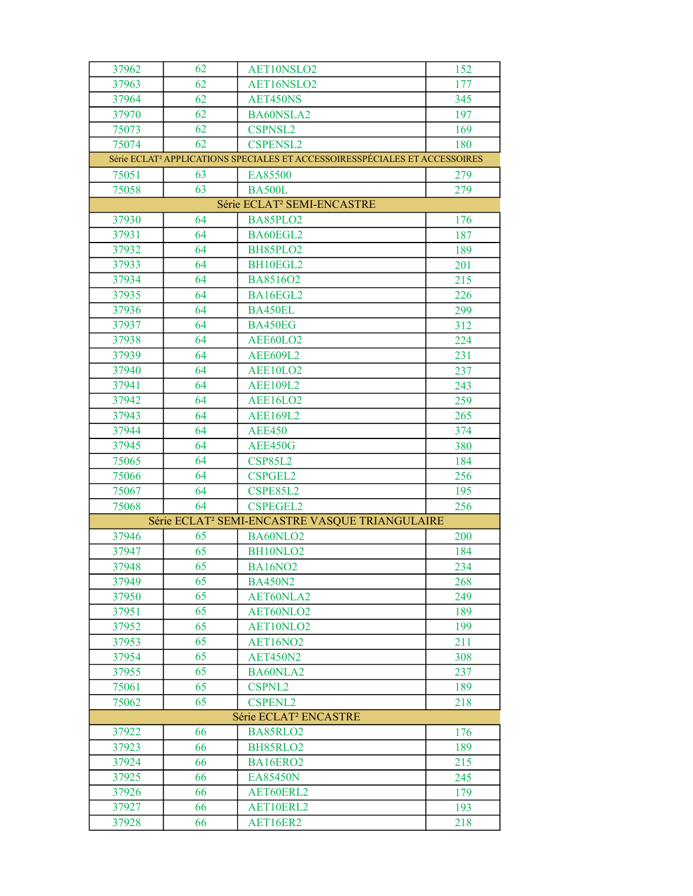| 37962 | 62 | AET10NSLO2                                                                             | 152 |
|-------|----|----------------------------------------------------------------------------------------|-----|
| 37963 | 62 | AET16NSLO2                                                                             | 177 |
| 37964 | 62 | AET450NS                                                                               | 345 |
| 37970 | 62 | BA60NSLA2                                                                              | 197 |
| 75073 | 62 | <b>CSPNSL2</b>                                                                         | 169 |
| 75074 | 62 | <b>CSPENSL2</b>                                                                        | 180 |
|       |    | Série ECLAT <sup>2</sup> APPLICATIONS SPECIALES ET ACCESSOIRESSPÉCIALES ET ACCESSOIRES |     |
| 75051 | 63 | EA85500                                                                                | 279 |
| 75058 | 63 | <b>BA500L</b>                                                                          | 279 |
|       |    | Série ECLAT <sup>2</sup> SEMI-ENCASTRE                                                 |     |
| 37930 | 64 | BA85PLO2                                                                               | 176 |
| 37931 | 64 | BA60EGL2                                                                               | 187 |
| 37932 | 64 | BH85PLO2                                                                               | 189 |
| 37933 | 64 | BH10EGL2                                                                               | 201 |
| 37934 | 64 | BA8516O2                                                                               | 215 |
| 37935 | 64 | BA16EGL2                                                                               | 226 |
| 37936 | 64 | BA450EL                                                                                | 299 |
| 37937 | 64 | <b>BA450EG</b>                                                                         | 312 |
| 37938 | 64 | AEE60LO2                                                                               | 224 |
| 37939 | 64 | <b>AEE609L2</b>                                                                        | 231 |
| 37940 | 64 | AEE10LO2                                                                               | 237 |
| 37941 | 64 | <b>AEE109L2</b>                                                                        | 243 |
| 37942 | 64 | AEE16LO2                                                                               | 259 |
| 37943 | 64 | <b>AEE169L2</b>                                                                        | 265 |
| 37944 | 64 | <b>AEE450</b>                                                                          | 374 |
| 37945 | 64 | <b>AEE450G</b>                                                                         | 380 |
| 75065 | 64 | <b>CSP85L2</b>                                                                         | 184 |
| 75066 | 64 | <b>CSPGEL2</b>                                                                         | 256 |
| 75067 | 64 | CSPE85L2                                                                               | 195 |
| 75068 | 64 | <b>CSPEGEL2</b>                                                                        | 256 |
|       |    | Série ECLAT <sup>2</sup> SEMI-ENCASTRE VASQUE TRIANGULAIRE                             |     |
| 37946 | 65 | BA60NLO2                                                                               | 200 |
| 37947 | 65 | BH10NLO2                                                                               | 184 |
| 37948 | 65 | <b>BA16NO2</b>                                                                         | 234 |
| 37949 | 65 | <b>BA450N2</b>                                                                         | 268 |
| 37950 | 65 | AET60NLA2                                                                              | 249 |
| 37951 | 65 | AET60NLO2                                                                              | 189 |
| 37952 | 65 | AET10NLO2                                                                              | 199 |
| 37953 | 65 | AET16NO2                                                                               | 211 |
| 37954 | 65 | <b>AET450N2</b>                                                                        | 308 |
| 37955 | 65 | BA60NLA2                                                                               | 237 |
| 75061 | 65 | <b>CSPNL2</b>                                                                          | 189 |
| 75062 | 65 | <b>CSPENL2</b>                                                                         | 218 |
|       |    | Série ECLAT <sup>2</sup> ENCASTRE                                                      |     |
| 37922 | 66 | BA85RLO <sub>2</sub>                                                                   | 176 |
| 37923 | 66 | BH85RLO2                                                                               | 189 |
| 37924 | 66 | BA16ERO2                                                                               | 215 |
| 37925 | 66 | <b>EA85450N</b>                                                                        | 245 |
| 37926 | 66 | AET60ERL2                                                                              | 179 |
| 37927 | 66 | AET10ERL2                                                                              | 193 |
| 37928 | 66 | AET16ER2                                                                               | 218 |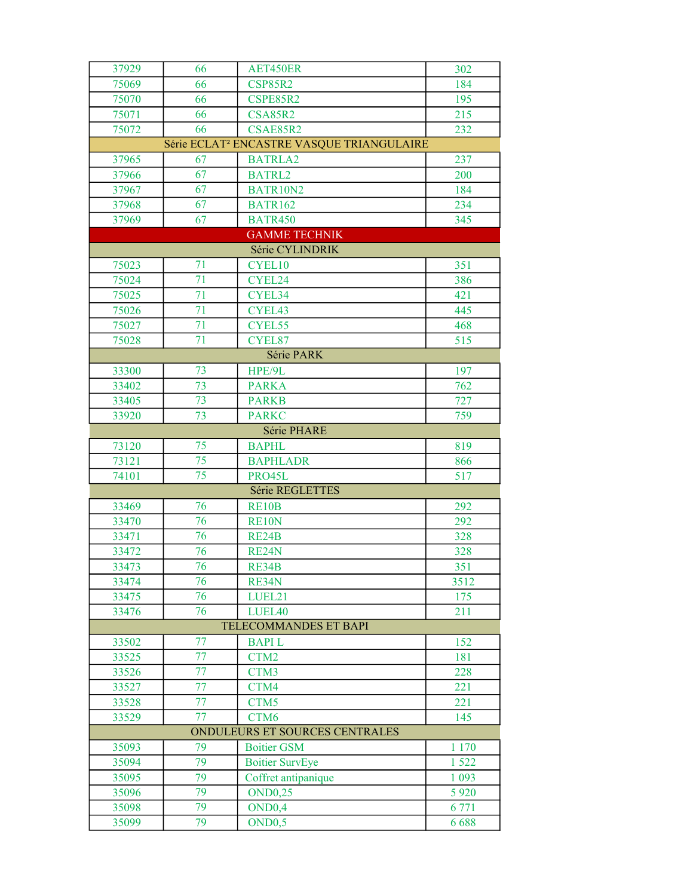| 37929 | 66                             | AET450ER                                              | 302     |  |  |
|-------|--------------------------------|-------------------------------------------------------|---------|--|--|
| 75069 | 66                             | <b>CSP85R2</b>                                        | 184     |  |  |
| 75070 | 66                             | CSPE85R2                                              | 195     |  |  |
| 75071 | 66                             | <b>CSA85R2</b>                                        | 215     |  |  |
| 75072 | 66                             | CSAE85R2                                              | 232     |  |  |
|       |                                | Série ECLAT <sup>2</sup> ENCASTRE VASQUE TRIANGULAIRE |         |  |  |
| 37965 | 67                             | <b>BATRLA2</b>                                        | 237     |  |  |
| 37966 | 67                             | <b>BATRL2</b>                                         | 200     |  |  |
| 37967 | 67                             | BATR10N2                                              | 184     |  |  |
| 37968 | 67                             | <b>BATR162</b>                                        | 234     |  |  |
| 37969 | 67                             | <b>BATR450</b>                                        | 345     |  |  |
|       |                                | <b>GAMME TECHNIK</b>                                  |         |  |  |
|       |                                | Série CYLINDRIK                                       |         |  |  |
| 75023 | 71                             | CYEL10                                                | 351     |  |  |
| 75024 | 71                             | CYEL24                                                | 386     |  |  |
| 75025 | 71                             | CYEL34                                                | 421     |  |  |
| 75026 | 71                             | CYEL43                                                | 445     |  |  |
| 75027 | 71                             | CYEL55                                                | 468     |  |  |
| 75028 | 71                             | CYEL87                                                | 515     |  |  |
|       |                                | Série PARK                                            |         |  |  |
| 33300 | 73                             | HPE/9L                                                | 197     |  |  |
| 33402 | $\overline{73}$                | <b>PARKA</b>                                          | 762     |  |  |
| 33405 | 73                             | <b>PARKB</b>                                          | 727     |  |  |
| 33920 | 73                             | <b>PARKC</b>                                          | 759     |  |  |
|       |                                | Série PHARE                                           |         |  |  |
| 73120 | 75                             | <b>BAPHL</b>                                          | 819     |  |  |
| 73121 | 75                             | <b>BAPHLADR</b>                                       | 866     |  |  |
| 74101 | 75                             | PRO45L                                                | 517     |  |  |
|       |                                | Série REGLETTES                                       |         |  |  |
| 33469 | 76                             | RE10B                                                 | 292     |  |  |
| 33470 | 76                             | RE10N                                                 | 292     |  |  |
| 33471 | 76                             | <b>RE24B</b>                                          | 328     |  |  |
| 33472 | 76                             | RE24N                                                 | 328     |  |  |
| 33473 | 76                             | RE34B                                                 | 351     |  |  |
| 33474 | 76                             | RE34N                                                 | 3512    |  |  |
| 33475 | 76                             | LUEL21                                                | 175     |  |  |
| 33476 | 76                             | LUEL40                                                | 211     |  |  |
|       |                                | TELECOMMANDES ET BAPI                                 |         |  |  |
| 33502 | 77                             | <b>BAPIL</b>                                          | 152     |  |  |
| 33525 | 77                             | CTM2                                                  | 181     |  |  |
| 33526 | 77                             | CTM3                                                  | 228     |  |  |
| 33527 | 77                             | CTM4                                                  | 221     |  |  |
| 33528 | 77                             | CTM <sub>5</sub>                                      | 221     |  |  |
| 33529 | 77                             | CTM <sub>6</sub>                                      | 145     |  |  |
|       | ONDULEURS ET SOURCES CENTRALES |                                                       |         |  |  |
| 35093 | 79                             | <b>Boitier GSM</b>                                    | 1 1 7 0 |  |  |
| 35094 | 79                             | <b>Boitier SurvEye</b>                                | 1 5 2 2 |  |  |
| 35095 | 79                             | Coffret antipanique                                   | 1 0 9 3 |  |  |
| 35096 | 79                             | <b>OND0,25</b>                                        | 5 9 20  |  |  |
| 35098 | 79                             | OND <sub>0,4</sub><br>OND <sub>0</sub> ,5             | 6 771   |  |  |
| 35099 | 79                             |                                                       | 6688    |  |  |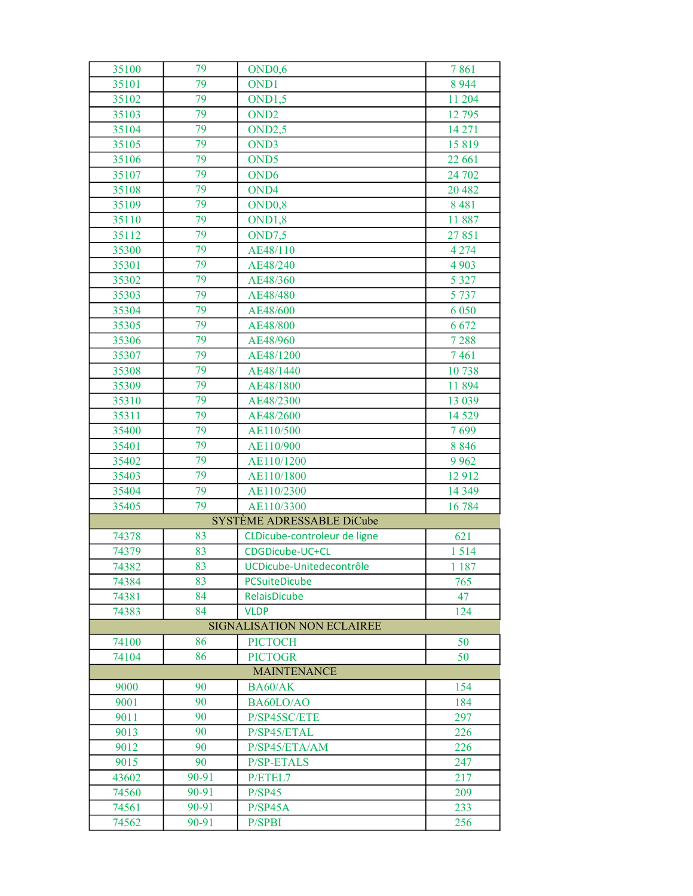| 35100 | 79                 | OND <sub>0</sub> ,6               | 7861    |  |  |  |
|-------|--------------------|-----------------------------------|---------|--|--|--|
| 35101 | 79                 | OND <sub>1</sub>                  | 8 9 4 4 |  |  |  |
| 35102 | 79                 | OND1,5                            | 11 204  |  |  |  |
| 35103 | 79                 | OND <sub>2</sub>                  | 12 795  |  |  |  |
| 35104 | 79                 | OND2,5                            | 14 27 1 |  |  |  |
| 35105 | 79                 | OND3                              | 15819   |  |  |  |
| 35106 | 79                 | OND <sub>5</sub>                  | 22 661  |  |  |  |
| 35107 | 79                 | OND <sub>6</sub>                  | 24 702  |  |  |  |
| 35108 | 79                 | OND4                              | 20 482  |  |  |  |
| 35109 | 79                 | OND <sub>0</sub> ,8               | 8 4 8 1 |  |  |  |
| 35110 | 79                 | OND1,8                            | 11887   |  |  |  |
| 35112 | 79                 | OND7,5                            | 27851   |  |  |  |
| 35300 | 79                 | AE48/110                          | 4 2 7 4 |  |  |  |
| 35301 | 79                 | AE48/240                          | 4 9 0 3 |  |  |  |
| 35302 | 79                 | AE48/360                          | 5 3 2 7 |  |  |  |
| 35303 | 79                 | AE48/480                          | 5 7 3 7 |  |  |  |
| 35304 | 79                 | AE48/600                          | 6 0 5 0 |  |  |  |
| 35305 | 79                 | AE48/800                          | 6 6 7 2 |  |  |  |
| 35306 | 79                 | AE48/960                          | 7 2 8 8 |  |  |  |
| 35307 | 79                 | AE48/1200                         | 7461    |  |  |  |
| 35308 | 79                 | AE48/1440                         | 10738   |  |  |  |
| 35309 | 79                 | AE48/1800                         | 11894   |  |  |  |
| 35310 | 79                 | AE48/2300                         | 13 039  |  |  |  |
| 35311 | 79                 | AE48/2600                         | 14 5 29 |  |  |  |
| 35400 | 79                 | AE110/500                         | 7699    |  |  |  |
| 35401 | 79                 | AE110/900                         | 8 8 4 6 |  |  |  |
| 35402 | 79                 | AE110/1200                        | 9 9 6 2 |  |  |  |
| 35403 | 79                 | AE110/1800                        | 12912   |  |  |  |
| 35404 | 79                 | AE110/2300                        | 14 3 49 |  |  |  |
| 35405 | 79                 | AE110/3300                        | 16784   |  |  |  |
|       |                    | SYSTÈME ADRESSABLE DiCube         |         |  |  |  |
| 74378 | 83                 | CLDicube-controleur de ligne      | 621     |  |  |  |
| 74379 | 83                 | CDGDicube-UC+CL                   | 1514    |  |  |  |
| 74382 | 83                 | UCDicube-Unitedecontrôle          | 1 1 8 7 |  |  |  |
| 74384 | 83                 | <b>PCSuiteDicube</b>              | 765     |  |  |  |
| 74381 | 84                 | <b>RelaisDicube</b>               | 47      |  |  |  |
| 74383 | 84                 | <b>VLDP</b>                       | 124     |  |  |  |
|       |                    | <b>SIGNALISATION NON ECLAIREE</b> |         |  |  |  |
| 74100 | 86                 | <b>PICTOCH</b>                    | 50      |  |  |  |
| 74104 | 86                 | <b>PICTOGR</b>                    | 50      |  |  |  |
|       | <b>MAINTENANCE</b> |                                   |         |  |  |  |
| 9000  | 90                 | BA60/AK                           | 154     |  |  |  |
| 9001  | 90                 | BA60LO/AO                         | 184     |  |  |  |
| 9011  | 90                 | P/SP45SC/ETE                      | 297     |  |  |  |
| 9013  | 90                 | P/SP45/ETAL                       | 226     |  |  |  |
| 9012  | 90                 | P/SP45/ETA/AM                     | 226     |  |  |  |
| 9015  | 90                 | <b>P/SP-ETALS</b>                 | 247     |  |  |  |
| 43602 | 90-91              | P/ETEL7                           | 217     |  |  |  |
| 74560 | 90-91              | P/SP45                            | 209     |  |  |  |
| 74561 | 90-91              | P/SP45A                           | 233     |  |  |  |
| 74562 | 90-91              | P/SPBI                            | 256     |  |  |  |